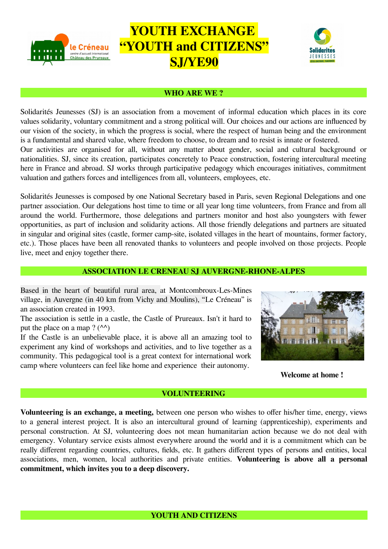

# **YOUTH EXCHANGE "YOUTH and CITIZENS" SJ/YE90**



#### **WHO ARE WE ?**

Solidarités Jeunesses (SJ) is an association from a movement of informal education which places in its core values solidarity, voluntary commitment and a strong political will. Our choices and our actions are influenced by our vision of the society, in which the progress is social, where the respect of human being and the environment is a fundamental and shared value, where freedom to choose, to dream and to resist is innate or fostered. Our activities are organised for all, without any matter about gender, social and cultural background or nationalities. SJ, since its creation, participates concretely to Peace construction, fostering intercultural meeting here in France and abroad. SJ works through participative pedagogy which encourages initiatives, commitment valuation and gathers forces and intelligences from all, volunteers, employees, etc.

Solidarités Jeunesses is composed by one National Secretary based in Paris, seven Regional Delegations and one partner association. Our delegations host time to time or all year long time volunteers, from France and from all around the world. Furthermore, those delegations and partners monitor and host also youngsters with fewer opportunities, as part of inclusion and solidarity actions. All those friendly delegations and partners are situated in singular and original sites (castle, former camp-site, isolated villages in the heart of mountains, former factory, etc.). Those places have been all renovated thanks to volunteers and people involved on those projects. People live, meet and enjoy together there.

#### **ASSOCIATION LE CRENEAU SJ AUVERGNE-RHONE-ALPES**

Based in the heart of beautiful rural area, at Montcombroux-Les-Mines village, in Auvergne (in 40 km from Vichy and Moulins), "Le Créneau" is an association created in 1993.

The association is settle in a castle, the Castle of Prureaux. Isn't it hard to put the place on a map ?  $(^{44}$ )

If the Castle is an unbelievable place, it is above all an amazing tool to experiment any kind of workshops and activities, and to live together as a community. This pedagogical tool is a great context for international work camp where volunteers can feel like home and experience their autonomy.



**Welcome at home !** 

#### **VOLUNTEERING**

**Volunteering is an exchange, a meeting,** between one person who wishes to offer his/her time, energy, views to a general interest project. It is also an intercultural ground of learning (apprenticeship), experiments and personal construction. At SJ, volunteering does not mean humanitarian action because we do not deal with emergency. Voluntary service exists almost everywhere around the world and it is a commitment which can be really different regarding countries, cultures, fields, etc. It gathers different types of persons and entities, local associations, men, women, local authorities and private entities. **Volunteering is above all a personal commitment, which invites you to a deep discovery.**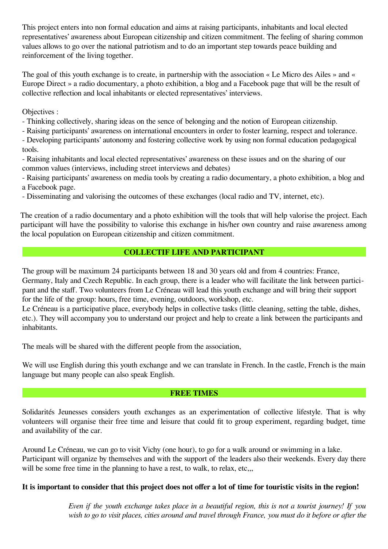This project enters into non formal education and aims at raising participants, inhabitants and local elected representatives' awareness about European citizenship and citizen commitment. The feeling of sharing common values allows to go over the national patriotism and to do an important step towards peace building and reinforcement of the living together.

The goal of this youth exchange is to create, in partnership with the association « Le Micro des Ailes » and « Europe Direct » a radio documentary, a photo exhibition, a blog and a Facebook page that will be the result of collective reflection and local inhabitants or elected representatives' interviews.

Objectives :

- Thinking collectively, sharing ideas on the sence of belonging and the notion of European citizenship.

- Raising participants' awareness on international encounters in order to foster learning, respect and tolerance.

- Developing participants' autonomy and fostering collective work by using non formal education pedagogical tools.

- Raising inhabitants and local elected representatives' awareness on these issues and on the sharing of our common values (interviews, including street interviews and debates)

- Raising participants' awareness on media tools by creating a radio documentary, a photo exhibition, a blog and a Facebook page.

- Disseminating and valorising the outcomes of these exchanges (local radio and TV, internet, etc).

The creation of a radio documentary and a photo exhibition will the tools that will help valorise the project. Each participant will have the possibility to valorise this exchange in his/her own country and raise awareness among the local population on European citizenship and citizen commitment.

# **COLLECTIF LIFE AND PARTICIPANT**

The group will be maximum 24 participants between 18 and 30 years old and from 4 countries: France, Germany, Italy and Czech Republic. In each group, there is a leader who will facilitate the link between participant and the staff. Two volunteers from Le Créneau will lead this youth exchange and will bring their support for the life of the group: hours, free time, evening, outdoors, workshop, etc.

Le Créneau is a participative place, everybody helps in collective tasks (little cleaning, setting the table, dishes, etc.). They will accompany you to understand our project and help to create a link between the participants and inhabitants.

The meals will be shared with the different people from the association,

We will use English during this youth exchange and we can translate in French. In the castle, French is the main language but many people can also speak English.

## **FREE TIMES**

Solidarités Jeunesses considers youth exchanges as an experimentation of collective lifestyle. That is why volunteers will organise their free time and leisure that could fit to group experiment, regarding budget, time and availability of the car.

Around Le Créneau, we can go to visit Vichy (one hour), to go for a walk around or swimming in a lake. Participant will organize by themselves and with the support of the leaders also their weekends. Every day there will be some free time in the planning to have a rest, to walk, to relax, etc...

## **It is important to consider that this project does not offer a lot of time for touristic visits in the region!**

*Even if the youth exchange takes place in a beautiful region, this is not a tourist journey! If you wish to go to visit places, cities around and travel through France, you must do it before or after the*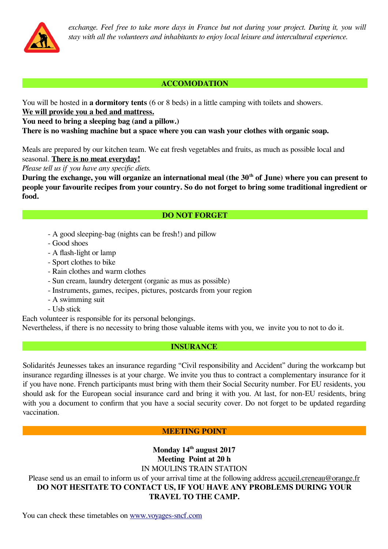*exchange. Feel free to take more days in France but not during your project. During it, you will stay with all the volunteers and inhabitants to enjoy local leisure and intercultural experience.* 

## **ACCOMODATION**

You will be hosted in **a dormitory tents** (6 or 8 beds) in a little camping with toilets and showers.

**We will provide you a bed and mattress.**

**You need to bring a sleeping bag (and a pillow.)** 

**There is no washing machine but a space where you can wash your clothes with organic soap.**

Meals are prepared by our kitchen team. We eat fresh vegetables and fruits, as much as possible local and seasonal. **There is no meat everyday!**

*Please tell us if you have any specific diets.*

**During the exchange, you will organize an international meal (the 30th of June) where you can present to people your favourite recipes from your country. So do not forget to bring some traditional ingredient or food.**

## **DO NOT FORGET**

- A good sleeping-bag (nights can be fresh!) and pillow
- Good shoes
- A flash-light or lamp
- Sport clothes to bike
- Rain clothes and warm clothes
- Sun cream, laundry detergent (organic as mus as possible)
- Instruments, games, recipes, pictures, postcards from your region
- A swimming suit
- Usb stick

Each volunteer is responsible for its personal belongings.

Nevertheless, if there is no necessity to bring those valuable items with you, we invite you to not to do it.

## **INSURANCE In the contract of the INSURANCE Instruments**

Solidarités Jeunesses takes an insurance regarding "Civil responsibility and Accident" during the workcamp but insurance regarding illnesses is at your charge. We invite you thus to contract a complementary insurance for it if you have none. French participants must bring with them their Social Security number. For EU residents, you should ask for the European social insurance card and bring it with you. At last, for non-EU residents, bring with you a document to confirm that you have a social security cover. Do not forget to be updated regarding vaccination.

## **MEETING POINT**

**Monday 14th august 2017 Meeting Point at 20 h** IN MOULINS TRAIN STATION Please send us an email to inform us of your arrival time at the following address [accueil.creneau@orange.fr](mailto:accueil.creneau@orange.fr) **DO NOT HESITATE TO CONTACT US, IF YOU HAVE ANY PROBLEMS DURING YOUR TRAVEL TO THE CAMP.**

You can check these timetables on [www.voyages-sncf.com](http://www.voyages-sncf.com/)